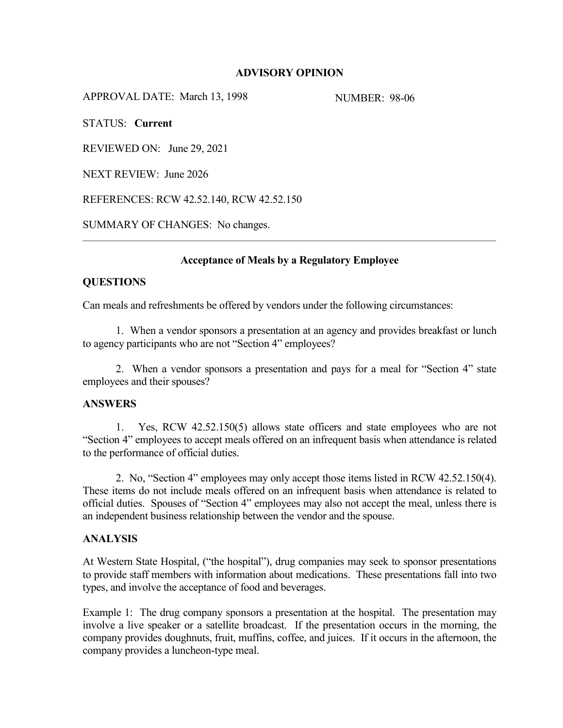# **ADVISORY OPINION**

APPROVAL DATE: March 13, 1998 NUMBER: 98-06

STATUS: **Current**

REVIEWED ON: June 29, 2021

NEXT REVIEW: June 2026

REFERENCES: RCW 42.52.140, RCW 42.52.150

SUMMARY OF CHANGES: No changes.

# **Acceptance of Meals by a Regulatory Employee**

### **QUESTIONS**

Can meals and refreshments be offered by vendors under the following circumstances:

1. When a vendor sponsors a presentation at an agency and provides breakfast or lunch to agency participants who are not "Section 4" employees?

2. When a vendor sponsors a presentation and pays for a meal for "Section 4" state employees and their spouses?

### **ANSWERS**

1. Yes, RCW 42.52.150(5) allows state officers and state employees who are not "Section 4" employees to accept meals offered on an infrequent basis when attendance is related to the performance of official duties.

2. No, "Section 4" employees may only accept those items listed in RCW 42.52.150(4). These items do not include meals offered on an infrequent basis when attendance is related to official duties. Spouses of "Section 4" employees may also not accept the meal, unless there is an independent business relationship between the vendor and the spouse.

# **ANALYSIS**

At Western State Hospital, ("the hospital"), drug companies may seek to sponsor presentations to provide staff members with information about medications. These presentations fall into two types, and involve the acceptance of food and beverages.

Example 1: The drug company sponsors a presentation at the hospital. The presentation may involve a live speaker or a satellite broadcast. If the presentation occurs in the morning, the company provides doughnuts, fruit, muffins, coffee, and juices. If it occurs in the afternoon, the company provides a luncheon-type meal.